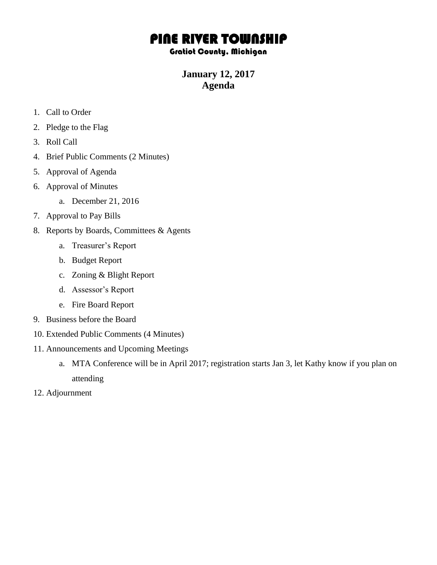## PINE RIVER TOWNSHIP

## Gratiot County, Michigan

## **January 12, 2017 Agenda**

- 1. Call to Order
- 2. Pledge to the Flag
- 3. Roll Call
- 4. Brief Public Comments (2 Minutes)
- 5. Approval of Agenda
- 6. Approval of Minutes
	- a. December 21, 2016
- 7. Approval to Pay Bills
- 8. Reports by Boards, Committees & Agents
	- a. Treasurer's Report
	- b. Budget Report
	- c. Zoning & Blight Report
	- d. Assessor's Report
	- e. Fire Board Report
- 9. Business before the Board
- 10. Extended Public Comments (4 Minutes)
- 11. Announcements and Upcoming Meetings
	- a. MTA Conference will be in April 2017; registration starts Jan 3, let Kathy know if you plan on attending
- 12. Adjournment